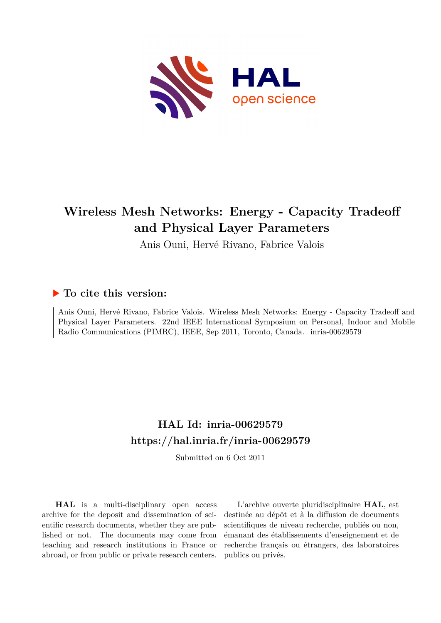

## **Wireless Mesh Networks: Energy - Capacity Tradeoff and Physical Layer Parameters**

Anis Ouni, Hervé Rivano, Fabrice Valois

### **To cite this version:**

Anis Ouni, Hervé Rivano, Fabrice Valois. Wireless Mesh Networks: Energy - Capacity Tradeoff and Physical Layer Parameters. 22nd IEEE International Symposium on Personal, Indoor and Mobile Radio Communications (PIMRC), IEEE, Sep 2011, Toronto, Canada. inria-00629579

## **HAL Id: inria-00629579 <https://hal.inria.fr/inria-00629579>**

Submitted on 6 Oct 2011

**HAL** is a multi-disciplinary open access archive for the deposit and dissemination of scientific research documents, whether they are published or not. The documents may come from teaching and research institutions in France or abroad, or from public or private research centers.

L'archive ouverte pluridisciplinaire **HAL**, est destinée au dépôt et à la diffusion de documents scientifiques de niveau recherche, publiés ou non, émanant des établissements d'enseignement et de recherche français ou étrangers, des laboratoires publics ou privés.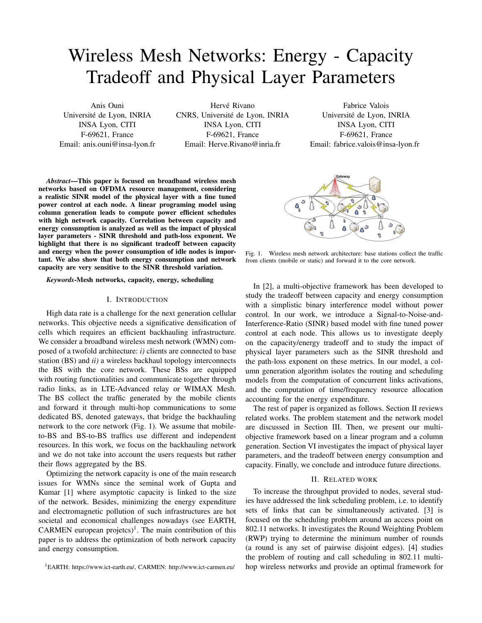# Wireless Mesh Networks: Energy - Capacity Tradeoff and Physical Layer Parameters

Anis Ouni Université de Lyon, INRIA INSA Lyon, CITI F-69621, France Email: anis.ouni@insa-lyon.fr

Hervé Rivano CNRS, Université de Lyon, INRIA INSA Lyon, CITI F-69621, France Email: Herve.Rivano@inria.fr

Fabrice Valois Université de Lyon, INRIA INSA Lyon, CITI F-69621, France Email: fabrice.valois@insa-lyon.fr

*Abstract*—This paper is focused on broadband wireless mesh networks based on OFDMA resource management, considering a realistic SINR model of the physical layer with a fine tuned power control at each node. A linear programing model using column generation leads to compute power efficient schedules with high network capacity. Correlation between capacity and energy consumption is analyzed as well as the impact of physical layer parameters - SINR threshold and path-loss exponent. We highlight that there is no significant tradeoff between capacity and energy when the power consumption of idle nodes is important. We also show that both energy consumption and network capacity are very sensitive to the SINR threshold variation.

*Keywords*-Mesh networks, capacity, energy, scheduling

#### I. INTRODUCTION

High data rate is a challenge for the next generation cellular networks. This objective needs a significative densification of cells which requires an efficient backhauling infrastructure. We consider a broadband wireless mesh network (WMN) composed of a twofold architecture: *i)* clients are connected to base station (BS) and *ii)* a wireless backhaul topology interconnects the BS with the core network. These BSs are equipped with routing functionalities and communicate together through radio links, as in LTE-Advanced relay or WIMAX Mesh. The BS collect the traffic generated by the mobile clients and forward it through multi-hop communications to some dedicated BS, denoted gateways, that bridge the backhauling network to the core network (Fig. 1). We assume that mobileto-BS and BS-to-BS traffics use different and independent resources. In this work, we focus on the backhauling network and we do not take into account the users requests but rather their flows aggregated by the BS.

Optimizing the network capacity is one of the main research issues for WMNs since the seminal work of Gupta and Kumar [1] where asymptotic capacity is linked to the size of the network. Besides, minimizing the energy expenditure and electromagnetic pollution of such infrastructures are hot societal and economical challenges nowadays (see EARTH,  $CARMEN$  european projetcs)<sup>1</sup>. The main contribution of this paper is to address the optimization of both network capacity and energy consumption.



Fig. 1. Wireless mesh network architecture: base stations collect the traffic from clients (mobile or static) and forward it to the core network.

In [2], a multi-objective framework has been developed to study the tradeoff between capacity and energy consumption with a simplistic binary interference model without power control. In our work, we introduce a Signal-to-Noise-and-Interference-Ratio (SINR) based model with fine tuned power control at each node. This allows us to investigate deeply on the capacity/energy tradeoff and to study the impact of physical layer parameters such as the SINR threshold and the path-loss exponent on these metrics. In our model, a column generation algorithm isolates the routing and scheduling models from the computation of concurrent links activations, and the computation of time/frequency resource allocation accounting for the energy expenditure.

The rest of paper is organized as follows. Section II reviews related works. The problem statement and the network model are discussed in Section III. Then, we present our multiobjective framework based on a linear program and a column generation. Section VI investigates the impact of physical layer parameters, and the tradeoff between energy consumption and capacity. Finally, we conclude and introduce future directions.

#### II. RELATED WORK

To increase the throughput provided to nodes, several studies have addressed the link scheduling problem, i.e. to identify sets of links that can be simultaneously activated. [3] is focused on the scheduling problem around an access point on 802.11 networks. It investigates the Round Weighting Problem (RWP) trying to determine the minimum number of rounds (a round is any set of pairwise disjoint edges). [4] studies the problem of routing and call scheduling in 802.11 multihop wireless networks and provide an optimal framework for

<sup>1</sup>EARTH: https://www.ict-earth.eu/, CARMEN: http://www.ict-carmen.eu/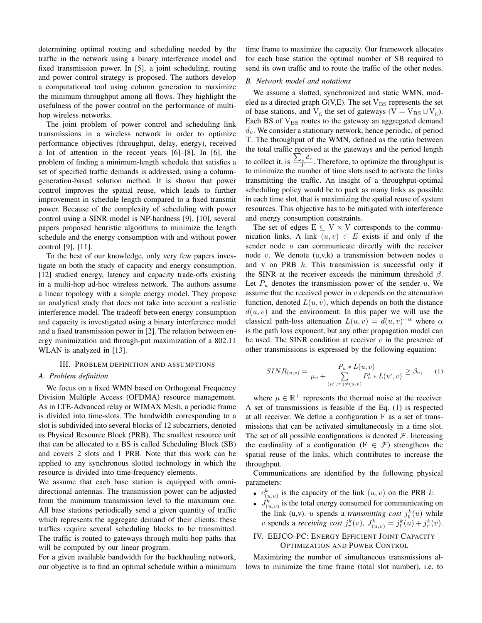determining optimal routing and scheduling needed by the traffic in the network using a binary interference model and fixed transmission power. In [5], a joint scheduling, routing and power control strategy is proposed. The authors develop a computational tool using column generation to maximize the minimum throughput among all flows. They highlight the usefulness of the power control on the performance of multihop wireless networks.

The joint problem of power control and scheduling link transmissions in a wireless network in order to optimize performance objectives (throughput, delay, energy), received a lot of attention in the recent years [6]–[8]. In [6], the problem of finding a minimum-length schedule that satisfies a set of specified traffic demands is addressed, using a columngeneration-based solution method. It is shown that power control improves the spatial reuse, which leads to further improvement in schedule length compared to a fixed transmit power. Because of the complexity of scheduling with power control using a SINR model is NP-hardness [9], [10], several papers proposed heuristic algorithms to minimize the length schedule and the energy consumption with and without power control [9], [11].

To the best of our knowledge, only very few papers investigate on both the study of capacity and energy consumption. [12] studied energy, latency and capacity trade-offs existing in a multi-hop ad-hoc wireless network. The authors assume a linear topology with a simple energy model. They propose an analytical study that does not take into account a realistic interference model. The tradeoff between energy consumption and capacity is investigated using a binary interference model and a fixed transmission power in [2]. The relation between energy minimization and through-put maximization of a 802.11 WLAN is analyzed in [13].

#### III. PROBLEM DEFINITION AND ASSUMPTIONS

#### *A. Problem definition*

We focus on a fixed WMN based on Orthogonal Frequency Division Multiple Access (OFDMA) resource management. As in LTE-Advanced relay or WIMAX Mesh, a periodic frame is divided into time-slots. The bandwidth corresponding to a slot is subdivided into several blocks of 12 subcarriers, denoted as Physical Resource Block (PRB). The smallest resource unit that can be allocated to a BS is called Scheduling Block (SB) and covers 2 slots and 1 PRB. Note that this work can be applied to any synchronous slotted technology in which the resource is divided into time-frequency elements.

We assume that each base station is equipped with omnidirectional antennas. The transmission power can be adjusted from the minimum transmission level to the maximum one. All base stations periodically send a given quantity of traffic which represents the aggregate demand of their clients: these traffics require several scheduling blocks to be transmitted. The traffic is routed to gateways through multi-hop paths that will be computed by our linear program.

For a given available bandwidth for the backhauling network, our objective is to find an optimal schedule within a minimum time frame to maximize the capacity. Our framework allocates for each base station the optimal number of SB required to send its own traffic and to route the traffic of the other nodes.

#### *B. Network model and notations*

We assume a slotted, synchronized and static WMN, modeled as a directed graph G(V,E). The set  $V_{BS}$  represents the set of base stations, and  $V_g$  the set of gateways ( $V = V_{BS} \cup V_g$ ). Each BS of  $V_{BS}$  routes to the gateway an aggregated demand  $d<sub>v</sub>$ . We consider a stationary network, hence periodic, of period T. The throughput of the WMN, defined as the ratio between the total traffic received at the gateways and the period length to collect it, is  $\frac{\sum_v d_v}{T}$  $\frac{w}{T}$ . Therefore, to optimize the throughput is to minimize the number of time slots used to activate the links transmitting the traffic. An insight of a throughput-optimal scheduling policy would be to pack as many links as possible in each time slot, that is maximizing the spatial reuse of system resources. This objective has to be mitigated with interference and energy consumption constraints.

The set of edges  $E \subseteq V \times V$  corresponds to the communication links. A link  $(u, v) \in E$  exists if and only if the sender node  $u$  can communicate directly with the receiver node  $v$ . We denote  $(u, v, k)$  a transmission between nodes u and v on PRB  $k$ . This transmission is successful only if the SINR at the receiver exceeds the minimum threshold  $\beta$ . Let  $P_u$  denotes the transmission power of the sender u. We assume that the received power in  $v$  depends on the attenuation function, denoted  $L(u, v)$ , which depends on both the distance  $d(u, v)$  and the environment. In this paper we will use the classical path-loss attenuation  $L(u, v) = d(u, v)^{-\alpha}$  where  $\alpha$ is the path loss exponent, but any other propagation model can be used. The SINR condition at receiver  $v$  in the presence of other transmissions is expressed by the following equation:

$$
SINR_{(u,v)} = \frac{P_u * L(u,v)}{\mu_v + \sum_{(u',v') \neq (u,v)} P_u' * L(u',v)} \geq \beta_v,
$$
 (1)

where  $\mu \in \mathbb{R}^+$  represents the thermal noise at the receiver. A set of transmissions is feasible if the Eq. (1) is respected at all receiver. We define a configuration F as a set of transmissions that can be activated simultaneously in a time slot. The set of all possible configurations is denoted  $\mathcal F$ . Increasing the cardinality of a configuration ( $F \in \mathcal{F}$ ) strengthens the spatial reuse of the links, which contributes to increase the throughput.

Communications are identified by the following physical parameters:

- $c_{(u,v)}^k$  is the capacity of the link  $(u, v)$  on the PRB k.
- $\bullet$   $J^k_{(u,v)}$  is the total energy consumed for communicating on the link (u,v). u spends a *transmitting cost*  $j_t^k(u)$  while v spends a *receiving cost*  $j_r^k(v)$ ,  $J_{(u,v)}^k = j_t^k(u) + j_r^k(v)$ .

#### IV. EEJCO-PC: ENERGY EFFICIENT JOINT CAPACITY OPTIMIZATION AND POWER CONTROL

Maximizing the number of simultaneous transmissions allows to minimize the time frame (total slot number), i.e. to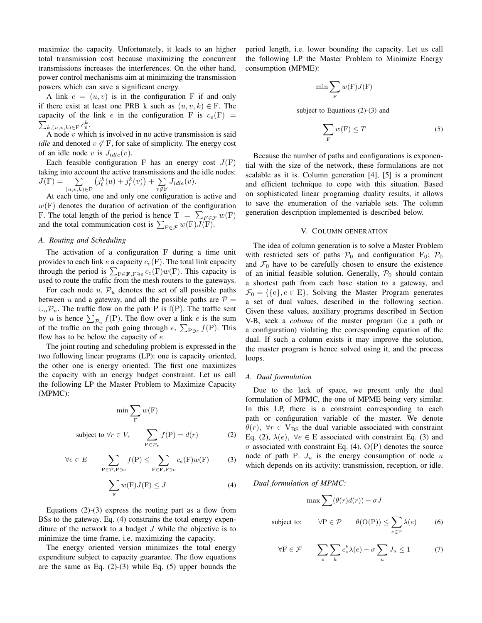maximize the capacity. Unfortunately, it leads to an higher total transmission cost because maximizing the concurrent transmissions increases the interferences. On the other hand, power control mechanisms aim at minimizing the transmission powers which can save a significant energy.

A link  $e = (u, v)$  is in the configuration F if and only if there exist at least one PRB k such as  $(u, v, k) \in F$ . The  $\sum_{k,(u,v,k)\in\mathcal{F}}c_{e}^{k}.$ capacity of the link e in the configuration F is  $c_e(F)$  =

A node  $v$  which is involved in no active transmission is said *idle* and denoted  $v \notin F$ , for sake of simplicity. The energy cost of an idle node v is  $J_{idle}(v)$ .

Each feasible configuration F has an energy cost  $J(F)$ taking into account the active transmissions and the idle nodes:  $J(\mathrm{F}) = \sum$  $(u,v,k) \in \mathbb{F}$  $(j_t^k(u) + j_r^k(v)) + \sum$  $\sum\limits_{v \not\in \mathrm{F}} J_{idle}(v).$ 

At each time, one and only one configuration is active and  $w(F)$  denotes the duration of activation of the configuration F. The total length of the period is hence  $T = \sum_{F \in \mathcal{F}} w(F)$ and the total communication cost is  $\sum_{F \in \mathcal{F}} w(F) J(F)$ .

#### *A. Routing and Scheduling*

The activation of a configuration F during a time unit provides to each link  $e$  a capacity  $c_e(F)$ . The total link capacity through the period is  $\sum_{F \in \mathbf{F}, F \ni e} c_e(F) w(F)$ . This capacity is used to route the traffic from the mesh routers to the gateways.

For each node  $u, \mathcal{P}_u$  denotes the set of all possible paths between u and a gateway, and all the possible paths are  $P =$  $\cup_u \mathcal{P}_u$ . The traffic flow on the path P is f(P). The traffic sent by u is hence  $\sum_{\mathcal{P}_u} f(\mathbf{P})$ . The flow over a link e is the sum of the traffic on the path going through  $e$ ,  $\sum_{P \ni e} f(P)$ . This flow has to be below the capacity of  $e$ .

The joint routing and scheduling problem is expressed in the two following linear programs (LP): one is capacity oriented, the other one is energy oriented. The first one maximizes the capacity with an energy budget constraint. Let us call the following LP the Master Problem to Maximize Capacity (MPMC):

$$
\min \sum_{F} w(F)
$$
  
subject to  $\forall r \in V_r$  
$$
\sum_{P \in \mathcal{P}_r} f(P) = d(r)
$$
 (2)

$$
\forall e \in E \qquad \sum_{P \in \mathcal{P}, P \ni e} f(P) \le \sum_{F \in \mathbf{F}, F \ni e} c_e(F) w(F) \tag{3}
$$

$$
\sum_{\mathbf{F}} w(\mathbf{F}) J(\mathbf{F}) \leq J \tag{4}
$$

Equations (2)-(3) express the routing part as a flow from BSs to the gateway. Eq. (4) constrains the total energy expenditure of the network to a budget  $J$  while the objective is to minimize the time frame, i.e. maximizing the capacity.

The energy oriented version minimizes the total energy expenditure subject to capacity guarantee. The flow equations are the same as Eq.  $(2)-(3)$  while Eq.  $(5)$  upper bounds the

period length, i.e. lower bounding the capacity. Let us call the following LP the Master Problem to Minimize Energy consumption (MPME):

$$
\min \sum_{\mathbf{F}} w(\mathbf{F}) J(\mathbf{F})
$$

subject to Equations (2)-(3) and

$$
\sum_{\mathbf{F}} w(\mathbf{F}) \le T \tag{5}
$$

Because the number of paths and configurations is exponential with the size of the network, these formulations are not scalable as it is. Column generation [4], [5] is a prominent and efficient technique to cope with this situation. Based on sophisticated linear programing duality results, it allows to save the enumeration of the variable sets. The column generation description implemented is described below.

#### V. COLUMN GENERATION

The idea of column generation is to solve a Master Problem with restricted sets of paths  $P_0$  and configuration  $F_0$ ;  $P_0$ and  $\mathcal{F}_0$  have to be carefully chosen to ensure the existence of an initial feasible solution. Generally,  $P_0$  should contain a shortest path from each base station to a gateway, and  $\mathcal{F}_0 = \{ \{e\}, e \in E \}$ . Solving the Master Program generates a set of dual values, described in the following section. Given these values, auxiliary programs described in Section V-B, seek a *column* of the master program (i.e a path or a configuration) violating the corresponding equation of the dual. If such a column exists it may improve the solution, the master program is hence solved using it, and the process loops.

#### *A. Dual formulation*

Due to the lack of space, we present only the dual formulation of MPMC, the one of MPME being very similar. In this LP, there is a constraint corresponding to each path or configuration variable of the master. We denote  $\theta(r)$ ,  $\forall r \in V_{BS}$  the dual variable associated with constraint Eq. (2),  $\lambda(e)$ ,  $\forall e \in E$  associated with constraint Eq. (3) and  $\sigma$  associated with constraint Eq. (4). O(P) denotes the source node of path P.  $J_u$  is the energy consumption of node u which depends on its activity: transmission, reception, or idle.

#### *Dual formulation of MPMC:*

$$
\max \sum (\theta(r)d(r)) - \sigma J
$$

subject to:  $\forall P \in \mathcal{P} \quad \theta(O(P)) \leq \sum$ e∈P  $\lambda(e)$  (6)

$$
\forall \mathbf{F} \in \mathcal{F} \qquad \sum_{e} \sum_{k} c_e^k \lambda(e) - \sigma \sum_{u} J_u \le 1 \tag{7}
$$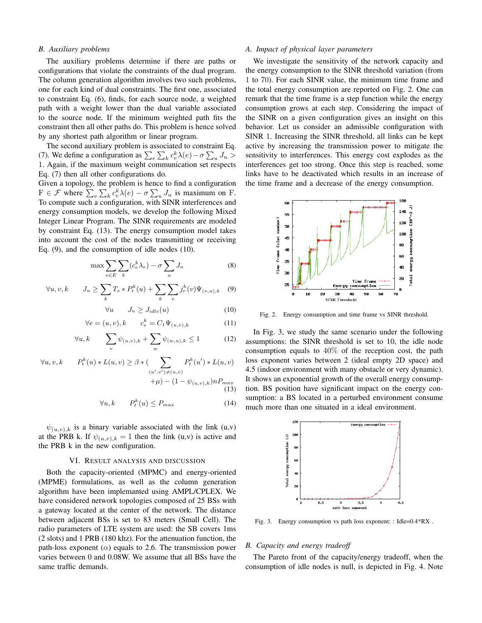#### *B. Auxiliary problems*

The auxiliary problems determine if there are paths or configurations that violate the constraints of the dual program. The column generation algorithm involves two such problems, one for each kind of dual constraints. The first one, associated to constraint Eq. (6), finds, for each source node, a weighted path with a weight lower than the dual variable associated to the source node. If the minimum weighted path fits the constraint then all other paths do. This problem is hence solved by any shortest path algorithm or linear program.

The second auxiliary problem is associated to constraint Eq. (7). We define a configuration as  $\sum_{e} \sum_{k} c_e^{k} \lambda(e) - \sigma \sum_{u} J_u >$ 1. Again, if the maximum weight communication set respects Eq. (7) then all other configurations do.

Given a topology, the problem is hence to find a configuration  $F \in \mathcal{F}$  where  $\sum_{e} \sum_{k} c_e^k \lambda(e) - \sigma \sum_{u} J_u$  is maximum on F. To compute such a configuration, with SINR interferences and energy consumption models, we develop the following Mixed Integer Linear Program. The SINR requirements are modeled by constraint Eq. (13). The energy consumption model takes into account the cost of the nodes transmitting or receiving Eq. (9), and the consumption of idle nodes (10).

$$
\max \sum_{e \in E} \sum_{k} (c_e^k \lambda_e) - \sigma \sum_{u} J_u \tag{8}
$$

$$
\forall u, v, k \qquad J_u \ge \sum_k T_s * P_t^k(u) + \sum_k \sum_v j_r^k(v) \Psi_{(v,u),k} \quad (9)
$$

$$
\forall u \qquad J_u \ge J_{idle}(u) \tag{10}
$$

$$
\forall e = (u, v), k \qquad c_e^k = C_1 \Psi_{(u, v), k} \tag{11}
$$

$$
\forall u, k \qquad \sum_{v} \psi_{(u,v),k} + \sum_{w} \psi_{(w,u),k} \le 1 \tag{12}
$$

$$
\forall u, v, k \qquad P_t^k(u) * L(u, v) \ge \beta * (\sum_{(u', v') \ne (u, v)} P_t^k(u') * L(u, v) + \mu) - (1 - \psi_{(u, v), k}) n P_{max}
$$
\n(13)

$$
\forall u, k \qquad P_t^k(u) \le P_{max} \tag{14}
$$

 $\psi_{(u,v),k}$  is a binary variable associated with the link (u,v) at the PRB k. If  $\psi_{(u,v),k} = 1$  then the link (u,v) is active and the PRB k in the new configuration.

#### VI. RESULT ANALYSIS AND DISCUSSION

Both the capacity-oriented (MPMC) and energy-oriented (MPME) formulations, as well as the column generation algorithm have been implemanted using AMPL/CPLEX. We have considered network topologies composed of 25 BSs with a gateway located at the center of the network. The distance between adjacent BSs is set to 83 meters (Small Cell). The radio parameters of LTE system are used: the SB covers 1ms (2 slots) and 1 PRB (180 khz). For the attenuation function, the path-loss exponent ( $\alpha$ ) equals to 2.6. The transmission power varies between 0 and 0.08W. We assume that all BSs have the same traffic demands.

#### *A. Impact of physical layer parameters*

We investigate the sensitivity of the network capacity and the energy consumption to the SINR threshold variation (from 1 to 70). For each SINR value, the minimum time frame and the total energy consumption are reported on Fig. 2. One can remark that the time frame is a step function while the energy consumption grows at each step. Considering the impact of the SINR on a given configuration gives an insight on this behavior. Let us consider an admissible configuration with SINR 1. Increasing the SINR threshold, all links can be kept active by increasing the transmission power to mitigate the sensitivity to interferences. This energy cost explodes as the interferences get too strong. Once this step is reached, some links have to be deactivated which results in an increase of the time frame and a decrease of the energy consumption.



Fig. 2. Energy consumption and time frame vs SINR threshold.

In Fig. 3, we study the same scenario under the following assumptions: the SINR threshold is set to 10, the idle node consumption equals to  $40\%$  of the reception cost, the path loss exponent varies between 2 (ideal empty 2D space) and 4.5 (indoor environment with many obstacle or very dynamic). It shows an exponential growth of the overall energy consumption. BS position have significant impact on the energy consumption: a BS located in a perturbed environment consume much more than one situated in a ideal environment.



Fig. 3. Energy consumption vs path loss exponent: : Idle=0.4\*RX .

#### *B. Capacity and energy tradeoff*

The Pareto front of the capacity/energy tradeoff, when the consumption of idle nodes is null, is depicted in Fig. 4. Note